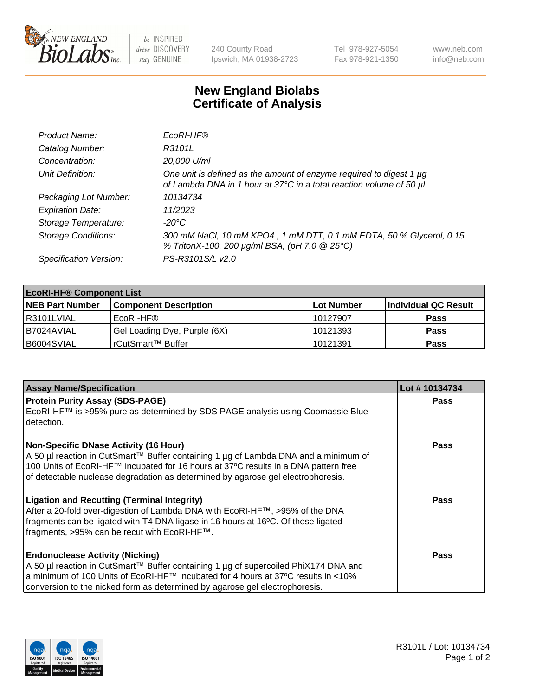

 $be$  INSPIRED drive DISCOVERY stay GENUINE

240 County Road Ipswich, MA 01938-2723 Tel 978-927-5054 Fax 978-921-1350 www.neb.com info@neb.com

## **New England Biolabs Certificate of Analysis**

| Product Name:              | EcoRI-HF®                                                                                                                                   |
|----------------------------|---------------------------------------------------------------------------------------------------------------------------------------------|
| Catalog Number:            | R3101L                                                                                                                                      |
| Concentration:             | 20,000 U/ml                                                                                                                                 |
| Unit Definition:           | One unit is defined as the amount of enzyme required to digest 1 µg<br>of Lambda DNA in 1 hour at 37°C in a total reaction volume of 50 µl. |
| Packaging Lot Number:      | 10134734                                                                                                                                    |
| <b>Expiration Date:</b>    | 11/2023                                                                                                                                     |
| Storage Temperature:       | -20°C                                                                                                                                       |
| <b>Storage Conditions:</b> | 300 mM NaCl, 10 mM KPO4, 1 mM DTT, 0.1 mM EDTA, 50 % Glycerol, 0.15<br>% TritonX-100, 200 µg/ml BSA, (pH 7.0 @ 25°C)                        |
| Specification Version:     | PS-R3101S/L v2.0                                                                                                                            |

| <b>EcoRI-HF® Component List</b> |                              |             |                      |  |  |
|---------------------------------|------------------------------|-------------|----------------------|--|--|
| <b>NEB Part Number</b>          | <b>Component Description</b> | ∣Lot Number | Individual QC Result |  |  |
| R3101LVIAL                      | EcoRI-HF®                    | 10127907    | <b>Pass</b>          |  |  |
| B7024AVIAL                      | Gel Loading Dye, Purple (6X) | 10121393    | <b>Pass</b>          |  |  |
| B6004SVIAL                      | rCutSmart™ Buffer            | 10121391    | <b>Pass</b>          |  |  |

| <b>Assay Name/Specification</b>                                                                                                                                         | Lot #10134734 |
|-------------------------------------------------------------------------------------------------------------------------------------------------------------------------|---------------|
| <b>Protein Purity Assay (SDS-PAGE)</b>                                                                                                                                  | <b>Pass</b>   |
| EcoRI-HF™ is >95% pure as determined by SDS PAGE analysis using Coomassie Blue<br>I detection.                                                                          |               |
| Non-Specific DNase Activity (16 Hour)<br>  A 50 µl reaction in CutSmart™ Buffer containing 1 µg of Lambda DNA and a minimum of                                          | <b>Pass</b>   |
| 100 Units of EcoRI-HF™ incubated for 16 hours at 37°C results in a DNA pattern free<br>of detectable nuclease degradation as determined by agarose gel electrophoresis. |               |
| <b>Ligation and Recutting (Terminal Integrity)</b>                                                                                                                      | Pass          |
| After a 20-fold over-digestion of Lambda DNA with EcoRI-HF™, >95% of the DNA                                                                                            |               |
| fragments can be ligated with T4 DNA ligase in 16 hours at 16°C. Of these ligated<br>fragments, >95% can be recut with EcoRI-HF™.                                       |               |
|                                                                                                                                                                         |               |
| <b>Endonuclease Activity (Nicking)</b>                                                                                                                                  | <b>Pass</b>   |
| A 50 µl reaction in CutSmart™ Buffer containing 1 µg of supercoiled PhiX174 DNA and                                                                                     |               |
| a minimum of 100 Units of EcoRI-HF™ incubated for 4 hours at 37°C results in <10%                                                                                       |               |
| conversion to the nicked form as determined by agarose gel electrophoresis.                                                                                             |               |